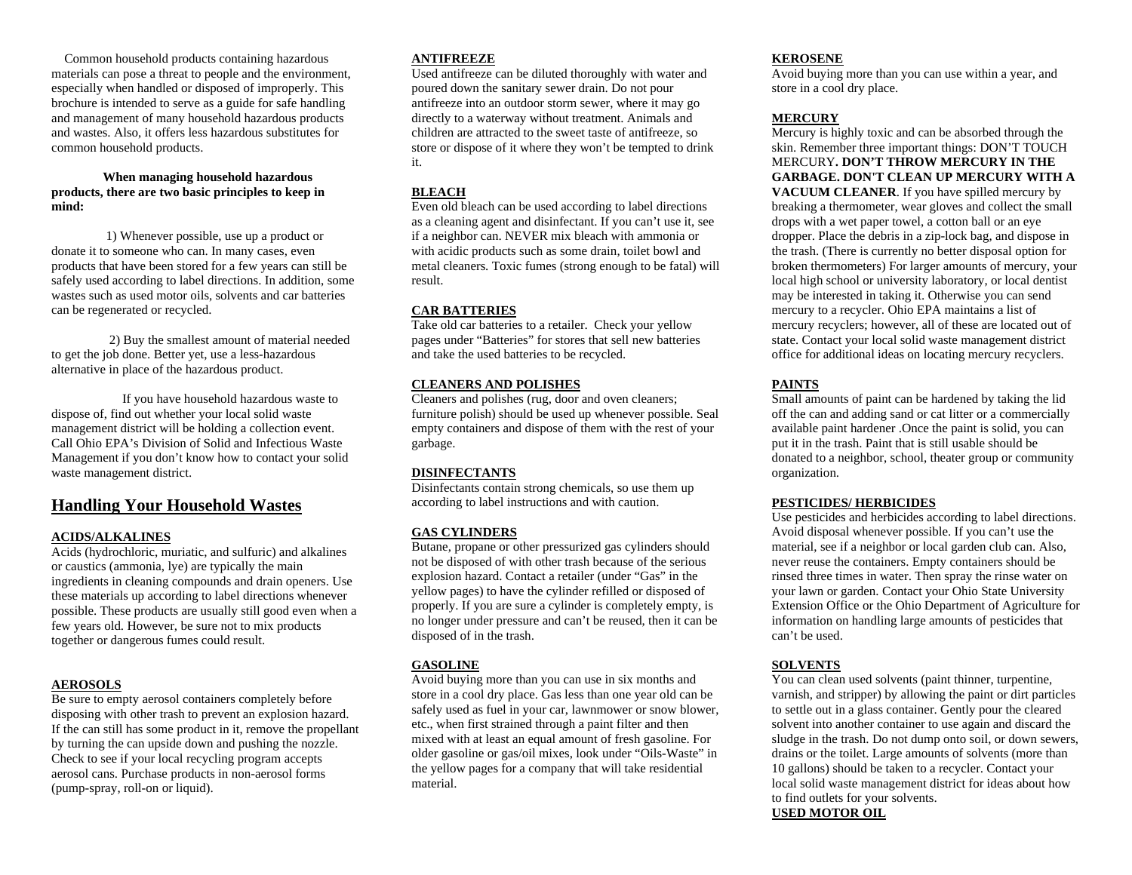Common household products containing hazardous materials can pose a threat to people and the environment, especially when handled or disposed of improperly. This brochure is intended to serve as a guide for safe handling and management of many household hazardous products and wastes. Also, it offers less hazardous substitutes for common household products.

#### **When managing household hazardous products, there are two basic principles to keep in mind:**

 1) Whenever possible, use up a product or donate it to someone who can. In many cases, even products that have been stored for a few years can still be safely used according to label directions. In addition, some wastes such as used motor oils, solvents and car batteries can be regenerated or recycled.

 2) Buy the smallest amount of material needed to get the job done. Better yet, use a less-hazardous alternative in place of the hazardous product.

 If you have household hazardous waste to dispose of, find out whether your local solid waste management district will be holding a collection event. Call Ohio EPA's Division of Solid and Infectious Waste Management if you don't know how to contact your solid waste management district.

# **Handling Your Household Wastes**

# **ACIDS/ALKALINES**

Acids (hydrochloric, muriatic, and sulfuric) and alkalines or caustics (ammonia, lye) are typically the main ingredients in cleaning compounds and drain openers. Use these materials up according to label directions whenever possible. These products are usually still good even when a few years old. However, be sure not to mix products together or dangerous fumes could result.

# **AEROSOLS**

Be sure to empty aerosol containers completely before disposing with other trash to prevent an explosion hazard. If the can still has some product in it, remove the propellant by turning the can upside down and pushing the nozzle. Check to see if your local recycling program accepts aerosol cans. Purchase products in non-aerosol forms (pump-spray, roll-on or liquid).

#### **ANTIFREEZE**

Used antifreeze can be diluted thoroughly with water and poured down the sanitary sewer drain. Do not pour antifreeze into an outdoor storm sewer, where it may go directly to a waterway without treatment. Animals and children are attracted to the sweet taste of antifreeze, so store or dispose of it where they won't be tempted to drink it.

# **BLEACH**

Even old bleach can be used according to label directions as a cleaning agent and disinfectant. If you can't use it, see if a neighbor can. NEVER mix bleach with ammonia or with acidic products such as some drain, toilet bowl and metal cleaners. Toxic fumes (strong enough to be fatal) will result.

# **CAR BATTERIES**

Take old car batteries to a retailer. Check your yellow pages under "Batteries" for stores that sell new batteries and take the used batteries to be recycled.

# **CLEANERS AND POLISHES**

 Cleaners and polishes (rug, door and oven cleaners; furniture polish) should be used up whenever possible. Seal empty containers and dispose of them with the rest of your garbage.

# **DISINFECTANTS**

Disinfectants contain strong chemicals, so use them up according to label instructions and with caution.

# **GAS CYLINDERS**

Butane, propane or other pressurized gas cylinders should not be disposed of with other trash because of the serious explosion hazard. Contact a retailer (under "Gas" in the yellow pages) to have the cylinder refilled or disposed of properly. If you are sure a cylinder is completely empty, is no longer under pressure and can't be reused, then it can be disposed of in the trash.

# **GASOLINE**

Avoid buying more than you can use in six months and store in a cool dry place. Gas less than one year old can be safely used as fuel in your car, lawnmower or snow blower, etc., when first strained through a paint filter and then mixed with at least an equal amount of fresh gasoline. For older gasoline or gas/oil mixes, look under "Oils-Waste" in the yellow pages for a company that will take residential material.

#### **KEROSENE**

Avoid buying more than you can use within a year, and store in a cool dry place.

# **MERCURY**

 Mercury is highly toxic and can be absorbed through the skin. Remember three important things: DON'T TOUCH MERCURY**. DON'T THROW MERCURY IN THE GARBAGE. DON'T CLEAN UP MERCURY WITH A VACUUM CLEANER**. If you have spilled mercury by breaking a thermometer, wear gloves and collect the small drops with a wet paper towel, a cotton ball or an eye dropper. Place the debris in a zip-lock bag, and dispose in the trash. (There is currently no better disposal option for broken thermometers) For larger amounts of mercury, your local high school or university laboratory, or local dentist may be interested in taking it. Otherwise you can send mercury to a recycler. Ohio EPA maintains a list of mercury recyclers; however, all of these are located out of state. Contact your local solid waste management district office for additional ideas on locating mercury recyclers.

# **PAINTS**

Small amounts of paint can be hardened by taking the lid off the can and adding sand or cat litter or a commercially available paint hardener .Once the paint is solid, you can put it in the trash. Paint that is still usable should be donated to a neighbor, school, theater group or community organization.

# **PESTICIDES/ HERBICIDES**

Use pesticides and herbicides according to label directions. Avoid disposal whenever possible. If you can't use the material, see if a neighbor or local garden club can. Also, never reuse the containers. Empty containers should be rinsed three times in water. Then spray the rinse water on your lawn or garden. Contact your Ohio State University Extension Office or the Ohio Department of Agriculture for information on handling large amounts of pesticides that can't be used.

# **SOLVENTS**

You can clean used solvents (paint thinner, turpentine, varnish, and stripper) by allowing the paint or dirt particles to settle out in a glass container. Gently pour the cleared solvent into another container to use again and discard the sludge in the trash. Do not dump onto soil, or down sewers, drains or the toilet. Large amounts of solvents (more than 10 gallons) should be taken to a recycler. Contact your local solid waste management district for ideas about how to find outlets for your solvents. **USED MOTOR OIL**